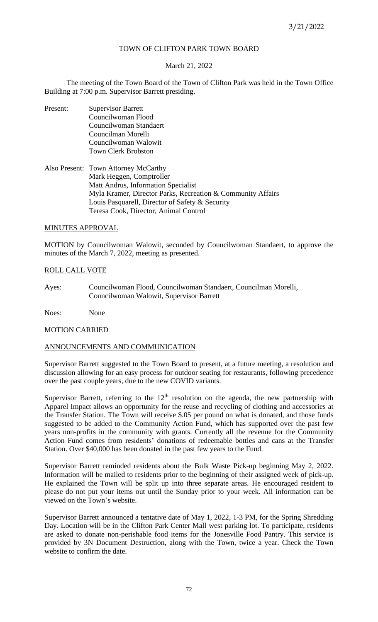# TOWN OF CLIFTON PARK TOWN BOARD

# March 21, 2022

The meeting of the Town Board of the Town of Clifton Park was held in the Town Office Building at 7:00 p.m. Supervisor Barrett presiding.

- Present: Supervisor Barrett Councilwoman Flood Councilwoman Standaert Councilman Morelli Councilwoman Walowit Town Clerk Brobston
- Also Present: Town Attorney McCarthy Mark Heggen, Comptroller Matt Andrus, Information Specialist Myla Kramer, Director Parks, Recreation & Community Affairs Louis Pasquarell, Director of Safety & Security Teresa Cook, Director, Animal Control

# MINUTES APPROVAL

MOTION by Councilwoman Walowit, seconded by Councilwoman Standaert, to approve the minutes of the March 7, 2022, meeting as presented.

# ROLL CALL VOTE

Ayes: Councilwoman Flood, Councilwoman Standaert, Councilman Morelli, Councilwoman Walowit, Supervisor Barrett

Noes: None

# MOTION CARRIED

# ANNOUNCEMENTS AND COMMUNICATION

Supervisor Barrett suggested to the Town Board to present, at a future meeting, a resolution and discussion allowing for an easy process for outdoor seating for restaurants, following precedence over the past couple years, due to the new COVID variants.

Supervisor Barrett, referring to the  $12<sup>th</sup>$  resolution on the agenda, the new partnership with Apparel Impact allows an opportunity for the reuse and recycling of clothing and accessories at the Transfer Station. The Town will receive \$.05 per pound on what is donated, and those funds suggested to be added to the Community Action Fund, which has supported over the past few years non-profits in the community with grants. Currently all the revenue for the Community Action Fund comes from residents' donations of redeemable bottles and cans at the Transfer Station. Over \$40,000 has been donated in the past few years to the Fund.

Supervisor Barrett reminded residents about the Bulk Waste Pick-up beginning May 2, 2022. Information will be mailed to residents prior to the beginning of their assigned week of pick-up. He explained the Town will be split up into three separate areas. He encouraged resident to please do not put your items out until the Sunday prior to your week. All information can be viewed on the Town's website.

Supervisor Barrett announced a tentative date of May 1, 2022, 1-3 PM, for the Spring Shredding Day. Location will be in the Clifton Park Center Mall west parking lot. To participate, residents are asked to donate non-perishable food items for the Jonesville Food Pantry. This service is provided by 3N Document Destruction, along with the Town, twice a year. Check the Town website to confirm the date.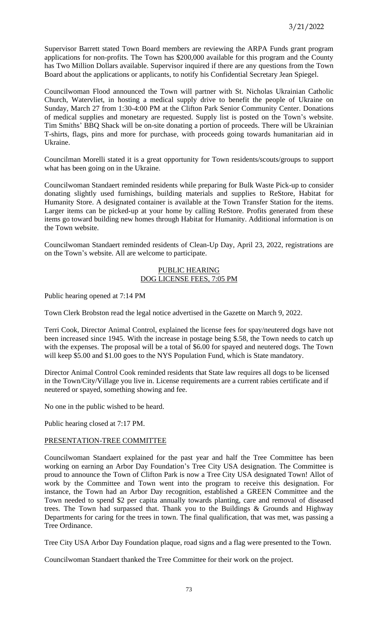Supervisor Barrett stated Town Board members are reviewing the ARPA Funds grant program applications for non-profits. The Town has \$200,000 available for this program and the County has Two Million Dollars available. Supervisor inquired if there are any questions from the Town Board about the applications or applicants, to notify his Confidential Secretary Jean Spiegel.

Councilwoman Flood announced the Town will partner with St. Nicholas Ukrainian Catholic Church, Watervliet, in hosting a medical supply drive to benefit the people of Ukraine on Sunday, March 27 from 1:30-4:00 PM at the Clifton Park Senior Community Center. Donations of medical supplies and monetary are requested. Supply list is posted on the Town's website. Tim Smiths' BBQ Shack will be on-site donating a portion of proceeds. There will be Ukrainian T-shirts, flags, pins and more for purchase, with proceeds going towards humanitarian aid in Ukraine.

Councilman Morelli stated it is a great opportunity for Town residents/scouts/groups to support what has been going on in the Ukraine.

Councilwoman Standaert reminded residents while preparing for Bulk Waste Pick-up to consider donating slightly used furnishings, building materials and supplies to ReStore, Habitat for Humanity Store. A designated container is available at the Town Transfer Station for the items. Larger items can be picked-up at your home by calling ReStore. Profits generated from these items go toward building new homes through Habitat for Humanity. Additional information is on the Town website.

Councilwoman Standaert reminded residents of Clean-Up Day, April 23, 2022, registrations are on the Town's website. All are welcome to participate.

## PUBLIC HEARING DOG LICENSE FEES, 7:05 PM

Public hearing opened at 7:14 PM

Town Clerk Brobston read the legal notice advertised in the Gazette on March 9, 2022.

Terri Cook, Director Animal Control, explained the license fees for spay/neutered dogs have not been increased since 1945. With the increase in postage being \$.58, the Town needs to catch up with the expenses. The proposal will be a total of \$6.00 for spayed and neutered dogs. The Town will keep \$5.00 and \$1.00 goes to the NYS Population Fund, which is State mandatory.

Director Animal Control Cook reminded residents that State law requires all dogs to be licensed in the Town/City/Village you live in. License requirements are a current rabies certificate and if neutered or spayed, something showing and fee.

No one in the public wished to be heard.

Public hearing closed at 7:17 PM.

# PRESENTATION-TREE COMMITTEE

Councilwoman Standaert explained for the past year and half the Tree Committee has been working on earning an Arbor Day Foundation's Tree City USA designation. The Committee is proud to announce the Town of Clifton Park is now a Tree City USA designated Town! Allot of work by the Committee and Town went into the program to receive this designation. For instance, the Town had an Arbor Day recognition, established a GREEN Committee and the Town needed to spend \$2 per capita annually towards planting, care and removal of diseased trees. The Town had surpassed that. Thank you to the Buildings & Grounds and Highway Departments for caring for the trees in town. The final qualification, that was met, was passing a Tree Ordinance.

Tree City USA Arbor Day Foundation plaque, road signs and a flag were presented to the Town.

Councilwoman Standaert thanked the Tree Committee for their work on the project.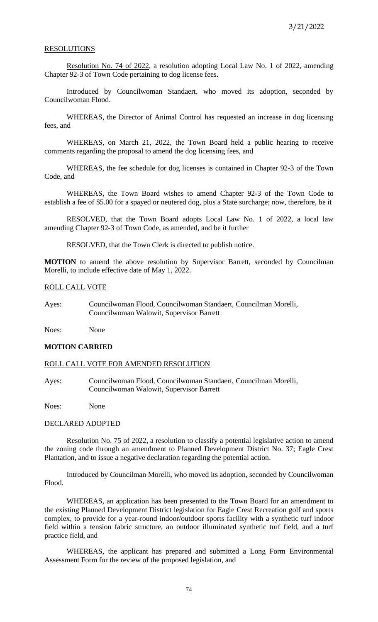#### **RESOLUTIONS**

Resolution No. 74 of 2022, a resolution adopting Local Law No. 1 of 2022, amending Chapter 92-3 of Town Code pertaining to dog license fees.

Introduced by Councilwoman Standaert, who moved its adoption, seconded by Councilwoman Flood.

WHEREAS, the Director of Animal Control has requested an increase in dog licensing fees, and

WHEREAS, on March 21, 2022, the Town Board held a public hearing to receive comments regarding the proposal to amend the dog licensing fees, and

WHEREAS, the fee schedule for dog licenses is contained in Chapter 92-3 of the Town Code, and

WHEREAS, the Town Board wishes to amend Chapter 92-3 of the Town Code to establish a fee of \$5.00 for a spayed or neutered dog, plus a State surcharge; now, therefore, be it

RESOLVED, that the Town Board adopts Local Law No. 1 of 2022, a local law amending Chapter 92-3 of Town Code, as amended, and be it further

RESOLVED, that the Town Clerk is directed to publish notice.

**MOTION** to amend the above resolution by Supervisor Barrett, seconded by Councilman Morelli, to include effective date of May 1, 2022.

## ROLL CALL VOTE

Ayes: Councilwoman Flood, Councilwoman Standaert, Councilman Morelli, Councilwoman Walowit, Supervisor Barrett

Noes: None

## **MOTION CARRIED**

#### ROLL CALL VOTE FOR AMENDED RESOLUTION

Ayes: Councilwoman Flood, Councilwoman Standaert, Councilman Morelli, Councilwoman Walowit, Supervisor Barrett

Noes: None

#### DECLARED ADOPTED

Resolution No. 75 of 2022, a resolution to classify a potential legislative action to amend the zoning code through an amendment to Planned Development District No. 37; Eagle Crest Plantation, and to issue a negative declaration regarding the potential action.

Introduced by Councilman Morelli, who moved its adoption, seconded by Councilwoman Flood.

WHEREAS, an application has been presented to the Town Board for an amendment to the existing Planned Development District legislation for Eagle Crest Recreation golf and sports complex, to provide for a year-round indoor/outdoor sports facility with a synthetic turf indoor field within a tension fabric structure, an outdoor illuminated synthetic turf field, and a turf practice field, and

WHEREAS, the applicant has prepared and submitted a Long Form Environmental Assessment Form for the review of the proposed legislation, and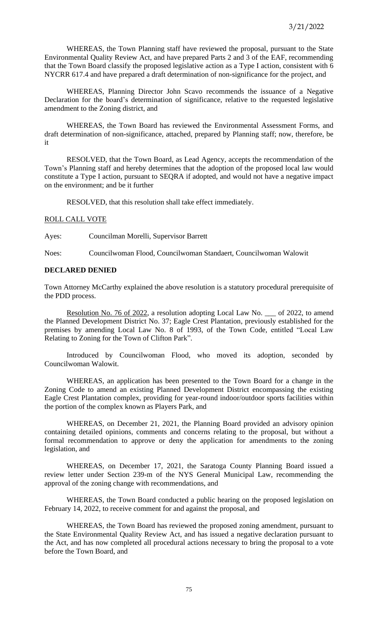WHEREAS, the Town Planning staff have reviewed the proposal, pursuant to the State Environmental Quality Review Act, and have prepared Parts 2 and 3 of the EAF, recommending that the Town Board classify the proposed legislative action as a Type I action, consistent with 6 NYCRR 617.4 and have prepared a draft determination of non-significance for the project, and

WHEREAS, Planning Director John Scavo recommends the issuance of a Negative Declaration for the board's determination of significance, relative to the requested legislative amendment to the Zoning district, and

WHEREAS, the Town Board has reviewed the Environmental Assessment Forms, and draft determination of non-significance, attached, prepared by Planning staff; now, therefore, be it

RESOLVED, that the Town Board, as Lead Agency, accepts the recommendation of the Town's Planning staff and hereby determines that the adoption of the proposed local law would constitute a Type I action, pursuant to SEQRA if adopted, and would not have a negative impact on the environment; and be it further

RESOLVED, that this resolution shall take effect immediately.

# ROLL CALL VOTE

Ayes: Councilman Morelli, Supervisor Barrett

Noes: Councilwoman Flood, Councilwoman Standaert, Councilwoman Walowit

# **DECLARED DENIED**

Town Attorney McCarthy explained the above resolution is a statutory procedural prerequisite of the PDD process.

Resolution No. 76 of 2022, a resolution adopting Local Law No. \_\_\_ of 2022, to amend the Planned Development District No. 37; Eagle Crest Plantation, previously established for the premises by amending Local Law No. 8 of 1993, of the Town Code, entitled "Local Law Relating to Zoning for the Town of Clifton Park".

Introduced by Councilwoman Flood, who moved its adoption, seconded by Councilwoman Walowit.

WHEREAS, an application has been presented to the Town Board for a change in the Zoning Code to amend an existing Planned Development District encompassing the existing Eagle Crest Plantation complex, providing for year-round indoor/outdoor sports facilities within the portion of the complex known as Players Park, and

WHEREAS, on December 21, 2021, the Planning Board provided an advisory opinion containing detailed opinions, comments and concerns relating to the proposal, but without a formal recommendation to approve or deny the application for amendments to the zoning legislation, and

WHEREAS, on December 17, 2021, the Saratoga County Planning Board issued a review letter under Section 239-m of the NYS General Municipal Law, recommending the approval of the zoning change with recommendations, and

WHEREAS, the Town Board conducted a public hearing on the proposed legislation on February 14, 2022, to receive comment for and against the proposal, and

WHEREAS, the Town Board has reviewed the proposed zoning amendment, pursuant to the State Environmental Quality Review Act, and has issued a negative declaration pursuant to the Act, and has now completed all procedural actions necessary to bring the proposal to a vote before the Town Board, and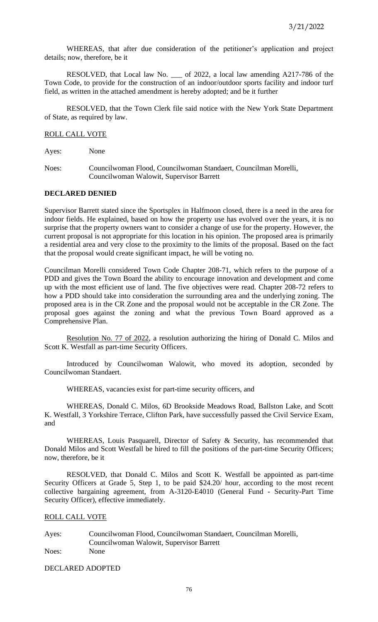WHEREAS, that after due consideration of the petitioner's application and project details; now, therefore, be it

RESOLVED, that Local law No. \_\_\_ of 2022, a local law amending A217-786 of the Town Code, to provide for the construction of an indoor/outdoor sports facility and indoor turf field, as written in the attached amendment is hereby adopted; and be it further

RESOLVED, that the Town Clerk file said notice with the New York State Department of State, as required by law.

## ROLL CALL VOTE

Ayes: None

Noes: Councilwoman Flood, Councilwoman Standaert, Councilman Morelli, Councilwoman Walowit, Supervisor Barrett

## **DECLARED DENIED**

Supervisor Barrett stated since the Sportsplex in Halfmoon closed, there is a need in the area for indoor fields. He explained, based on how the property use has evolved over the years, it is no surprise that the property owners want to consider a change of use for the property. However, the current proposal is not appropriate for this location in his opinion. The proposed area is primarily a residential area and very close to the proximity to the limits of the proposal. Based on the fact that the proposal would create significant impact, he will be voting no.

Councilman Morelli considered Town Code Chapter 208-71, which refers to the purpose of a PDD and gives the Town Board the ability to encourage innovation and development and come up with the most efficient use of land. The five objectives were read. Chapter 208-72 refers to how a PDD should take into consideration the surrounding area and the underlying zoning. The proposed area is in the CR Zone and the proposal would not be acceptable in the CR Zone. The proposal goes against the zoning and what the previous Town Board approved as a Comprehensive Plan.

Resolution No. 77 of 2022, a resolution authorizing the hiring of Donald C. Milos and Scott K. Westfall as part-time Security Officers.

Introduced by Councilwoman Walowit, who moved its adoption, seconded by Councilwoman Standaert.

WHEREAS, vacancies exist for part-time security officers, and

WHEREAS, Donald C. Milos, 6D Brookside Meadows Road, Ballston Lake, and Scott K. Westfall, 3 Yorkshire Terrace, Clifton Park, have successfully passed the Civil Service Exam, and

WHEREAS, Louis Pasquarell, Director of Safety & Security, has recommended that Donald Milos and Scott Westfall be hired to fill the positions of the part-time Security Officers; now, therefore, be it

RESOLVED, that Donald C. Milos and Scott K. Westfall be appointed as part-time Security Officers at Grade 5, Step 1, to be paid \$24.20/ hour, according to the most recent collective bargaining agreement, from A-3120-E4010 (General Fund - Security-Part Time Security Officer), effective immediately.

# ROLL CALL VOTE

Ayes: Councilwoman Flood, Councilwoman Standaert, Councilman Morelli, Councilwoman Walowit, Supervisor Barrett Noes: None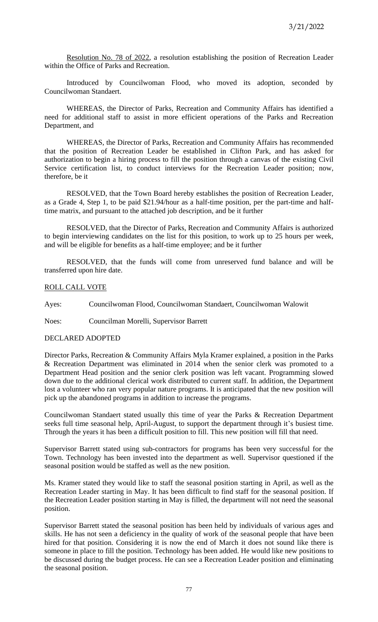Resolution No. 78 of 2022, a resolution establishing the position of Recreation Leader within the Office of Parks and Recreation.

Introduced by Councilwoman Flood, who moved its adoption, seconded by Councilwoman Standaert.

WHEREAS, the Director of Parks, Recreation and Community Affairs has identified a need for additional staff to assist in more efficient operations of the Parks and Recreation Department, and

WHEREAS, the Director of Parks, Recreation and Community Affairs has recommended that the position of Recreation Leader be established in Clifton Park, and has asked for authorization to begin a hiring process to fill the position through a canvas of the existing Civil Service certification list, to conduct interviews for the Recreation Leader position; now, therefore, be it

RESOLVED, that the Town Board hereby establishes the position of Recreation Leader, as a Grade 4, Step 1, to be paid \$21.94/hour as a half-time position, per the part-time and halftime matrix, and pursuant to the attached job description, and be it further

RESOLVED, that the Director of Parks, Recreation and Community Affairs is authorized to begin interviewing candidates on the list for this position, to work up to 25 hours per week, and will be eligible for benefits as a half-time employee; and be it further

RESOLVED, that the funds will come from unreserved fund balance and will be transferred upon hire date.

## ROLL CALL VOTE

Ayes: Councilwoman Flood, Councilwoman Standaert, Councilwoman Walowit

Noes: Councilman Morelli, Supervisor Barrett

## DECLARED ADOPTED

Director Parks, Recreation & Community Affairs Myla Kramer explained, a position in the Parks & Recreation Department was eliminated in 2014 when the senior clerk was promoted to a Department Head position and the senior clerk position was left vacant. Programming slowed down due to the additional clerical work distributed to current staff. In addition, the Department lost a volunteer who ran very popular nature programs. It is anticipated that the new position will pick up the abandoned programs in addition to increase the programs.

Councilwoman Standaert stated usually this time of year the Parks & Recreation Department seeks full time seasonal help, April-August, to support the department through it's busiest time. Through the years it has been a difficult position to fill. This new position will fill that need.

Supervisor Barrett stated using sub-contractors for programs has been very successful for the Town. Technology has been invested into the department as well. Supervisor questioned if the seasonal position would be staffed as well as the new position.

Ms. Kramer stated they would like to staff the seasonal position starting in April, as well as the Recreation Leader starting in May. It has been difficult to find staff for the seasonal position. If the Recreation Leader position starting in May is filled, the department will not need the seasonal position.

Supervisor Barrett stated the seasonal position has been held by individuals of various ages and skills. He has not seen a deficiency in the quality of work of the seasonal people that have been hired for that position. Considering it is now the end of March it does not sound like there is someone in place to fill the position. Technology has been added. He would like new positions to be discussed during the budget process. He can see a Recreation Leader position and eliminating the seasonal position.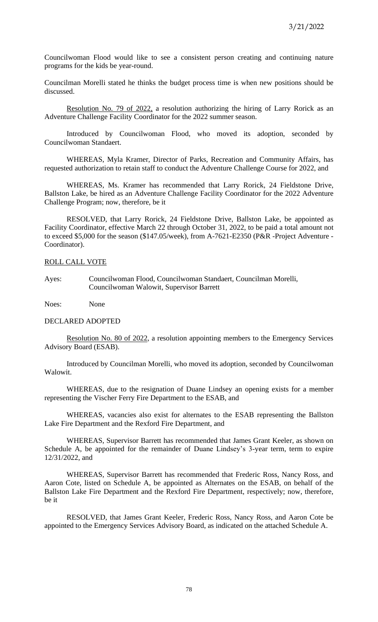Councilwoman Flood would like to see a consistent person creating and continuing nature programs for the kids be year-round.

Councilman Morelli stated he thinks the budget process time is when new positions should be discussed.

Resolution No. 79 of 2022, a resolution authorizing the hiring of Larry Rorick as an Adventure Challenge Facility Coordinator for the 2022 summer season.

Introduced by Councilwoman Flood, who moved its adoption, seconded by Councilwoman Standaert.

WHEREAS, Myla Kramer, Director of Parks, Recreation and Community Affairs, has requested authorization to retain staff to conduct the Adventure Challenge Course for 2022, and

WHEREAS, Ms. Kramer has recommended that Larry Rorick, 24 Fieldstone Drive, Ballston Lake, be hired as an Adventure Challenge Facility Coordinator for the 2022 Adventure Challenge Program; now, therefore, be it

RESOLVED, that Larry Rorick, 24 Fieldstone Drive, Ballston Lake, be appointed as Facility Coordinator, effective March 22 through October 31, 2022, to be paid a total amount not to exceed \$5,000 for the season (\$147.05/week), from A-7621-E2350 (P&R -Project Adventure - Coordinator).

# ROLL CALL VOTE

Ayes: Councilwoman Flood, Councilwoman Standaert, Councilman Morelli, Councilwoman Walowit, Supervisor Barrett

Noes: None

#### DECLARED ADOPTED

Resolution No. 80 of 2022, a resolution appointing members to the Emergency Services Advisory Board (ESAB).

Introduced by Councilman Morelli, who moved its adoption, seconded by Councilwoman Walowit.

 WHEREAS, due to the resignation of Duane Lindsey an opening exists for a member representing the Vischer Ferry Fire Department to the ESAB, and

WHEREAS, vacancies also exist for alternates to the ESAB representing the Ballston Lake Fire Department and the Rexford Fire Department, and

WHEREAS, Supervisor Barrett has recommended that James Grant Keeler, as shown on Schedule A, be appointed for the remainder of Duane Lindsey's 3-year term, term to expire 12/31/2022, and

WHEREAS, Supervisor Barrett has recommended that Frederic Ross, Nancy Ross, and Aaron Cote, listed on Schedule A, be appointed as Alternates on the ESAB, on behalf of the Ballston Lake Fire Department and the Rexford Fire Department, respectively; now, therefore, be it

RESOLVED, that James Grant Keeler, Frederic Ross, Nancy Ross, and Aaron Cote be appointed to the Emergency Services Advisory Board, as indicated on the attached Schedule A.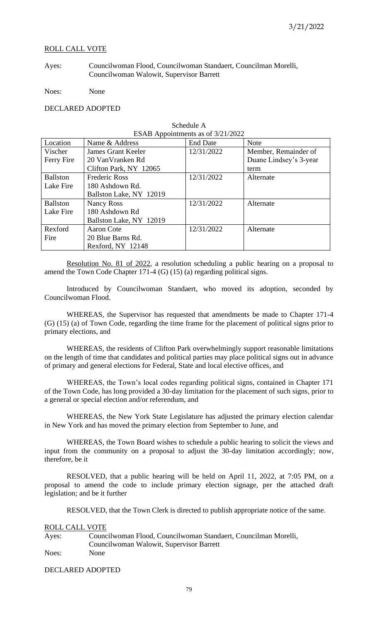## ROLL CALL VOTE

Ayes: Councilwoman Flood, Councilwoman Standaert, Councilman Morelli, Councilwoman Walowit, Supervisor Barrett

Noes: None

## DECLARED ADOPTED

| ESAB Appointments as of 3/21/2022 |                           |                 |                        |
|-----------------------------------|---------------------------|-----------------|------------------------|
| Location                          | Name & Address            | <b>End Date</b> | <b>Note</b>            |
| Vischer                           | <b>James Grant Keeler</b> | 12/31/2022      | Member, Remainder of   |
| Ferry Fire                        | 20 Van Vranken Rd         |                 | Duane Lindsey's 3-year |
|                                   | Clifton Park, NY 12065    |                 | term                   |
| <b>Ballston</b>                   | <b>Frederic Ross</b>      | 12/31/2022      | Alternate              |
| Lake Fire                         | 180 Ashdown Rd.           |                 |                        |
|                                   | Ballston Lake, NY 12019   |                 |                        |
| <b>Ballston</b>                   | <b>Nancy Ross</b>         | 12/31/2022      | Alternate              |
| Lake Fire                         | 180 Ashdown Rd            |                 |                        |
|                                   | Ballston Lake, NY 12019   |                 |                        |
| Rexford                           | Aaron Cote                | 12/31/2022      | Alternate              |
| Fire                              | 20 Blue Barns Rd.         |                 |                        |
|                                   | Rexford, NY 12148         |                 |                        |

Schedule A

Resolution No. 81 of 2022, a resolution scheduling a public hearing on a proposal to amend the Town Code Chapter 171-4 (G) (15) (a) regarding political signs.

Introduced by Councilwoman Standaert, who moved its adoption, seconded by Councilwoman Flood.

WHEREAS, the Supervisor has requested that amendments be made to Chapter 171-4 (G) (15) (a) of Town Code, regarding the time frame for the placement of political signs prior to primary elections, and

WHEREAS, the residents of Clifton Park overwhelmingly support reasonable limitations on the length of time that candidates and political parties may place political signs out in advance of primary and general elections for Federal, State and local elective offices, and

WHEREAS, the Town's local codes regarding political signs, contained in Chapter 171 of the Town Code, has long provided a 30-day limitation for the placement of such signs, prior to a general or special election and/or referendum, and

WHEREAS, the New York State Legislature has adjusted the primary election calendar in New York and has moved the primary election from September to June, and

WHEREAS, the Town Board wishes to schedule a public hearing to solicit the views and input from the community on a proposal to adjust the 30-day limitation accordingly; now, therefore, be it

RESOLVED, that a public hearing will be held on April 11, 2022, at 7:05 PM, on a proposal to amend the code to include primary election signage, per the attached draft legislation; and be it further

RESOLVED, that the Town Clerk is directed to publish appropriate notice of the same.

#### ROLL CALL VOTE

| Ayes: | Councilwoman Flood, Councilwoman Standaert, Councilman Morelli, |
|-------|-----------------------------------------------------------------|
|       | Councilwoman Walowit, Supervisor Barrett                        |
| Noes: | <b>None</b>                                                     |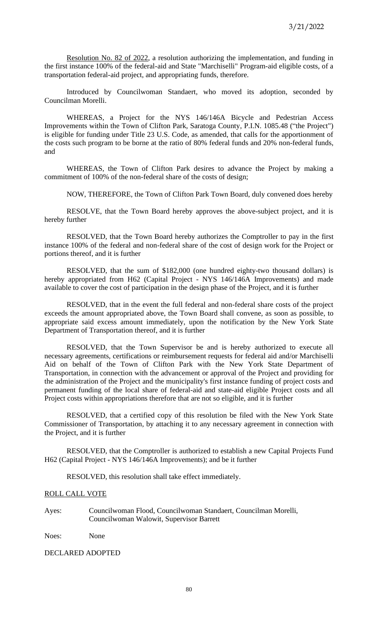Resolution No. 82 of 2022, a resolution authorizing the implementation, and funding in the first instance 100% of the federal-aid and State "Marchiselli" Program-aid eligible costs, of a transportation federal-aid project, and appropriating funds, therefore.

Introduced by Councilwoman Standaert, who moved its adoption, seconded by Councilman Morelli.

WHEREAS, a Project for the NYS 146/146A Bicycle and Pedestrian Access Improvements within the Town of Clifton Park, Saratoga County, P.I.N. 1085.48 ("the Project") is eligible for funding under Title 23 U.S. Code, as amended, that calls for the apportionment of the costs such program to be borne at the ratio of 80% federal funds and 20% non-federal funds, and

WHEREAS, the Town of Clifton Park desires to advance the Project by making a commitment of 100% of the non-federal share of the costs of design;

NOW, THEREFORE, the Town of Clifton Park Town Board, duly convened does hereby

RESOLVE, that the Town Board hereby approves the above-subject project, and it is hereby further

RESOLVED, that the Town Board hereby authorizes the Comptroller to pay in the first instance 100% of the federal and non-federal share of the cost of design work for the Project or portions thereof, and it is further

RESOLVED, that the sum of \$182,000 (one hundred eighty-two thousand dollars) is hereby appropriated from H62 (Capital Project - NYS 146/146A Improvements) and made available to cover the cost of participation in the design phase of the Project, and it is further

RESOLVED, that in the event the full federal and non-federal share costs of the project exceeds the amount appropriated above, the Town Board shall convene, as soon as possible, to appropriate said excess amount immediately, upon the notification by the New York State Department of Transportation thereof, and it is further

RESOLVED, that the Town Supervisor be and is hereby authorized to execute all necessary agreements, certifications or reimbursement requests for federal aid and/or Marchiselli Aid on behalf of the Town of Clifton Park with the New York State Department of Transportation, in connection with the advancement or approval of the Project and providing for the administration of the Project and the municipality's first instance funding of project costs and permanent funding of the local share of federal-aid and state-aid eligible Project costs and all Project costs within appropriations therefore that are not so eligible, and it is further

RESOLVED, that a certified copy of this resolution be filed with the New York State Commissioner of Transportation, by attaching it to any necessary agreement in connection with the Project, and it is further

RESOLVED, that the Comptroller is authorized to establish a new Capital Projects Fund H62 (Capital Project - NYS 146/146A Improvements); and be it further

RESOLVED, this resolution shall take effect immediately.

#### ROLL CALL VOTE

Ayes: Councilwoman Flood, Councilwoman Standaert, Councilman Morelli, Councilwoman Walowit, Supervisor Barrett

Noes: None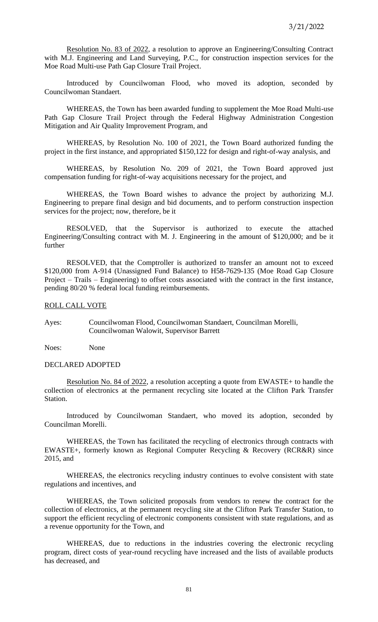Resolution No. 83 of 2022, a resolution to approve an Engineering/Consulting Contract with M.J. Engineering and Land Surveying, P.C., for construction inspection services for the Moe Road Multi-use Path Gap Closure Trail Project.

Introduced by Councilwoman Flood, who moved its adoption, seconded by Councilwoman Standaert.

WHEREAS, the Town has been awarded funding to supplement the Moe Road Multi-use Path Gap Closure Trail Project through the Federal Highway Administration Congestion Mitigation and Air Quality Improvement Program, and

WHEREAS, by Resolution No. 100 of 2021, the Town Board authorized funding the project in the first instance, and appropriated \$150,122 for design and right-of-way analysis, and

WHEREAS, by Resolution No. 209 of 2021, the Town Board approved just compensation funding for right-of-way acquisitions necessary for the project, and

WHEREAS, the Town Board wishes to advance the project by authorizing M.J. Engineering to prepare final design and bid documents, and to perform construction inspection services for the project; now, therefore, be it

RESOLVED, that the Supervisor is authorized to execute the attached Engineering/Consulting contract with M. J. Engineering in the amount of \$120,000; and be it further

RESOLVED, that the Comptroller is authorized to transfer an amount not to exceed \$120,000 from A-914 (Unassigned Fund Balance) to H58-7629-135 (Moe Road Gap Closure Project – Trails – Engineering) to offset costs associated with the contract in the first instance, pending 80/20 % federal local funding reimbursements.

#### ROLL CALL VOTE

Ayes: Councilwoman Flood, Councilwoman Standaert, Councilman Morelli, Councilwoman Walowit, Supervisor Barrett

Noes: None

#### DECLARED ADOPTED

Resolution No. 84 of 2022, a resolution accepting a quote from EWASTE+ to handle the collection of electronics at the permanent recycling site located at the Clifton Park Transfer Station.

Introduced by Councilwoman Standaert, who moved its adoption, seconded by Councilman Morelli.

WHEREAS, the Town has facilitated the recycling of electronics through contracts with EWASTE+, formerly known as Regional Computer Recycling & Recovery (RCR&R) since 2015, and

WHEREAS, the electronics recycling industry continues to evolve consistent with state regulations and incentives, and

WHEREAS, the Town solicited proposals from vendors to renew the contract for the collection of electronics, at the permanent recycling site at the Clifton Park Transfer Station, to support the efficient recycling of electronic components consistent with state regulations, and as a revenue opportunity for the Town, and

WHEREAS, due to reductions in the industries covering the electronic recycling program, direct costs of year-round recycling have increased and the lists of available products has decreased, and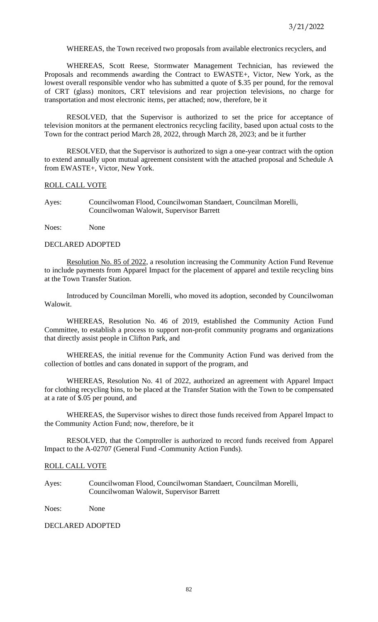WHEREAS, the Town received two proposals from available electronics recyclers, and

WHEREAS, Scott Reese, Stormwater Management Technician, has reviewed the Proposals and recommends awarding the Contract to EWASTE+, Victor, New York, as the lowest overall responsible vendor who has submitted a quote of \$.35 per pound, for the removal of CRT (glass) monitors, CRT televisions and rear projection televisions, no charge for transportation and most electronic items, per attached; now, therefore, be it

RESOLVED, that the Supervisor is authorized to set the price for acceptance of television monitors at the permanent electronics recycling facility, based upon actual costs to the Town for the contract period March 28, 2022, through March 28, 2023; and be it further

RESOLVED, that the Supervisor is authorized to sign a one-year contract with the option to extend annually upon mutual agreement consistent with the attached proposal and Schedule A from EWASTE+, Victor, New York.

## ROLL CALL VOTE

Ayes: Councilwoman Flood, Councilwoman Standaert, Councilman Morelli, Councilwoman Walowit, Supervisor Barrett

Noes: None

#### DECLARED ADOPTED

Resolution No. 85 of 2022, a resolution increasing the Community Action Fund Revenue to include payments from Apparel Impact for the placement of apparel and textile recycling bins at the Town Transfer Station.

Introduced by Councilman Morelli, who moved its adoption, seconded by Councilwoman Walowit.

WHEREAS, Resolution No. 46 of 2019, established the Community Action Fund Committee, to establish a process to support non-profit community programs and organizations that directly assist people in Clifton Park, and

WHEREAS, the initial revenue for the Community Action Fund was derived from the collection of bottles and cans donated in support of the program, and

WHEREAS, Resolution No. 41 of 2022, authorized an agreement with Apparel Impact for clothing recycling bins, to be placed at the Transfer Station with the Town to be compensated at a rate of \$.05 per pound, and

WHEREAS, the Supervisor wishes to direct those funds received from Apparel Impact to the Community Action Fund; now, therefore, be it

RESOLVED, that the Comptroller is authorized to record funds received from Apparel Impact to the A-02707 (General Fund -Community Action Funds).

#### ROLL CALL VOTE

Ayes: Councilwoman Flood, Councilwoman Standaert, Councilman Morelli, Councilwoman Walowit, Supervisor Barrett

Noes: None